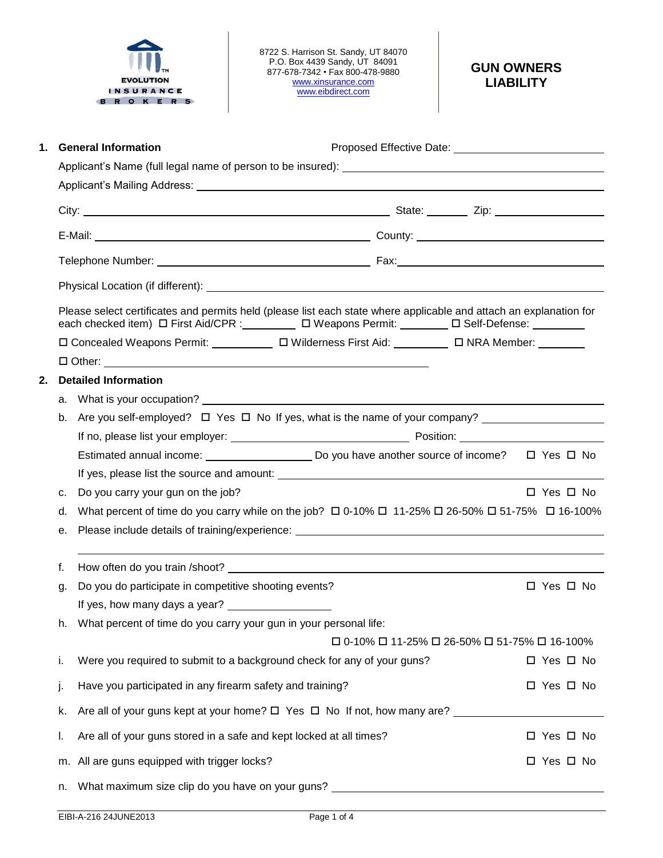

8722 S. Harrison St. Sandy, UT 84070 P.O. Box 4439 Sandy, UT 84091 877-678-7342 • Fax 800-478-9880 [www.xinsurance.com](http://www.xinsurance.com/) [www.eibdirect.com](http://www.eibdirect.com/)

# **GUN OWNERS LIABILITY**

| 1.                                                                                                                                                                                                                                         |                                                                                         | <b>General Information</b>                                                                           |  |            |            |  |  |
|--------------------------------------------------------------------------------------------------------------------------------------------------------------------------------------------------------------------------------------------|-----------------------------------------------------------------------------------------|------------------------------------------------------------------------------------------------------|--|------------|------------|--|--|
|                                                                                                                                                                                                                                            |                                                                                         |                                                                                                      |  |            |            |  |  |
|                                                                                                                                                                                                                                            |                                                                                         |                                                                                                      |  |            |            |  |  |
|                                                                                                                                                                                                                                            |                                                                                         |                                                                                                      |  |            |            |  |  |
|                                                                                                                                                                                                                                            |                                                                                         |                                                                                                      |  |            |            |  |  |
|                                                                                                                                                                                                                                            |                                                                                         |                                                                                                      |  |            |            |  |  |
|                                                                                                                                                                                                                                            |                                                                                         |                                                                                                      |  |            |            |  |  |
| Please select certificates and permits held (please list each state where applicable and attach an explanation for<br>each checked item) $\Box$ First Aid/CPR : __________ $\Box$ Weapons Permit: _________ $\Box$ Self-Defense: _________ |                                                                                         |                                                                                                      |  |            |            |  |  |
|                                                                                                                                                                                                                                            |                                                                                         | □ Concealed Weapons Permit: □ □ □ Wilderness First Aid: □ □ NRA Member: □ □                          |  |            |            |  |  |
|                                                                                                                                                                                                                                            |                                                                                         |                                                                                                      |  |            |            |  |  |
| 2.                                                                                                                                                                                                                                         |                                                                                         | <b>Detailed Information</b>                                                                          |  |            |            |  |  |
|                                                                                                                                                                                                                                            | а.                                                                                      |                                                                                                      |  |            |            |  |  |
|                                                                                                                                                                                                                                            | b.                                                                                      |                                                                                                      |  |            |            |  |  |
|                                                                                                                                                                                                                                            |                                                                                         |                                                                                                      |  |            |            |  |  |
|                                                                                                                                                                                                                                            |                                                                                         | Estimated annual income: ___________________________Do you have another source of income? □ Yes □ No |  |            |            |  |  |
|                                                                                                                                                                                                                                            |                                                                                         |                                                                                                      |  |            |            |  |  |
|                                                                                                                                                                                                                                            | с.                                                                                      | Do you carry your gun on the job?                                                                    |  |            | □ Yes □ No |  |  |
| What percent of time do you carry while on the job? $\Box$ 0-10% $\Box$ 11-25% $\Box$ 26-50% $\Box$ 51-75% $\Box$ 16-100%<br>d.                                                                                                            |                                                                                         |                                                                                                      |  |            |            |  |  |
|                                                                                                                                                                                                                                            | е.                                                                                      |                                                                                                      |  |            |            |  |  |
|                                                                                                                                                                                                                                            | f.                                                                                      |                                                                                                      |  |            |            |  |  |
|                                                                                                                                                                                                                                            | g.                                                                                      | Do you do participate in competitive shooting events?                                                |  | □ Yes □ No |            |  |  |
|                                                                                                                                                                                                                                            |                                                                                         | If yes, how many days a year?                                                                        |  |            |            |  |  |
| What percent of time do you carry your gun in your personal life:<br>h.<br>□ 0-10% □ 11-25% □ 26-50% □ 51-75% □ 16-100%                                                                                                                    |                                                                                         |                                                                                                      |  |            |            |  |  |
|                                                                                                                                                                                                                                            |                                                                                         |                                                                                                      |  |            |            |  |  |
|                                                                                                                                                                                                                                            | i.                                                                                      | Were you required to submit to a background check for any of your guns?                              |  |            | □ Yes □ No |  |  |
|                                                                                                                                                                                                                                            | j.                                                                                      | Have you participated in any firearm safety and training?                                            |  |            | □ Yes □ No |  |  |
|                                                                                                                                                                                                                                            | k.                                                                                      |                                                                                                      |  |            |            |  |  |
|                                                                                                                                                                                                                                            | I.                                                                                      | Are all of your guns stored in a safe and kept locked at all times?                                  |  |            | □ Yes □ No |  |  |
|                                                                                                                                                                                                                                            |                                                                                         | m. All are guns equipped with trigger locks?                                                         |  |            | □ Yes □ No |  |  |
|                                                                                                                                                                                                                                            | What maximum size clip do you have on your guns? ________________________________<br>n. |                                                                                                      |  |            |            |  |  |
|                                                                                                                                                                                                                                            |                                                                                         |                                                                                                      |  |            |            |  |  |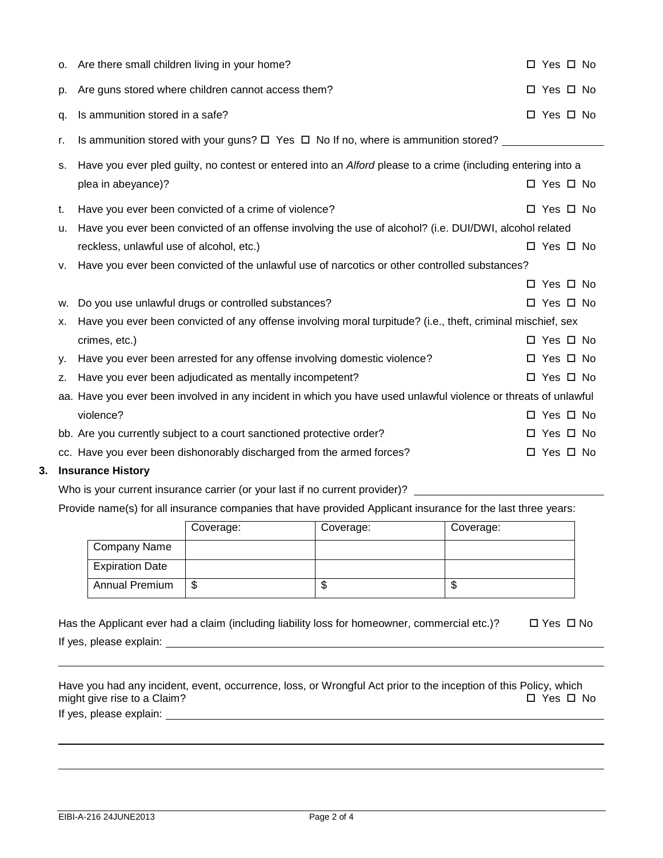|    | o. Are there small children living in your home?                                                                | □ Yes □ No           |  |  |
|----|-----------------------------------------------------------------------------------------------------------------|----------------------|--|--|
| p. | Are guns stored where children cannot access them?                                                              | □ Yes □ No           |  |  |
| q. | Is ammunition stored in a safe?                                                                                 | □ Yes □ No           |  |  |
| r. | Is ammunition stored with your guns? $\Box$ Yes $\Box$ No If no, where is ammunition stored? _________________  |                      |  |  |
| s. | Have you ever pled guilty, no contest or entered into an Alford please to a crime (including entering into a    |                      |  |  |
|    | plea in abeyance)?                                                                                              | □ Yes □ No           |  |  |
| t. | Have you ever been convicted of a crime of violence?                                                            | □ Yes □ No           |  |  |
| u. | Have you ever been convicted of an offense involving the use of alcohol? (i.e. DUI/DWI, alcohol related         |                      |  |  |
|    | reckless, unlawful use of alcohol, etc.)                                                                        | $\Box$ Yes $\Box$ No |  |  |
|    | v. Have you ever been convicted of the unlawful use of narcotics or other controlled substances?                |                      |  |  |
|    |                                                                                                                 | □ Yes □ No           |  |  |
| W. | Do you use unlawful drugs or controlled substances?                                                             | □ Yes □ No           |  |  |
| х. | Have you ever been convicted of any offense involving moral turpitude? (i.e., theft, criminal mischief, sex     |                      |  |  |
|    | crimes, etc.)                                                                                                   | □ Yes □ No           |  |  |
| у. | Have you ever been arrested for any offense involving domestic violence?                                        | □ Yes □ No           |  |  |
| z. | Have you ever been adjudicated as mentally incompetent?                                                         | $\Box$ Yes $\Box$ No |  |  |
|    | aa. Have you ever been involved in any incident in which you have used unlawful violence or threats of unlawful |                      |  |  |
|    | violence?                                                                                                       | □ Yes □ No           |  |  |
|    | bb. Are you currently subject to a court sanctioned protective order?                                           | □ Yes □ No           |  |  |
|    | cc. Have you ever been dishonorably discharged from the armed forces?                                           | □ Yes □ No           |  |  |

## **3. Insurance History**

Who is your current insurance carrier (or your last if no current provider)? \_\_\_\_\_\_\_\_\_

Provide name(s) for all insurance companies that have provided Applicant insurance for the last three years:

|                        | Coverage: | Coverage: | Coverage: |
|------------------------|-----------|-----------|-----------|
| <b>Company Name</b>    |           |           |           |
| <b>Expiration Date</b> |           |           |           |
| <b>Annual Premium</b>  | \$        |           | κIJ       |

| Has the Applicant ever had a claim (including liability loss for homeowner, commercial etc.)? | □ Yes □ No |
|-----------------------------------------------------------------------------------------------|------------|
| If yes, please explain:                                                                       |            |

Have you had any incident, event, occurrence, loss, or Wrongful Act prior to the inception of this Policy, which might give rise to a Claim?  $\Box$  Yes  $\Box$  No

If yes, please explain: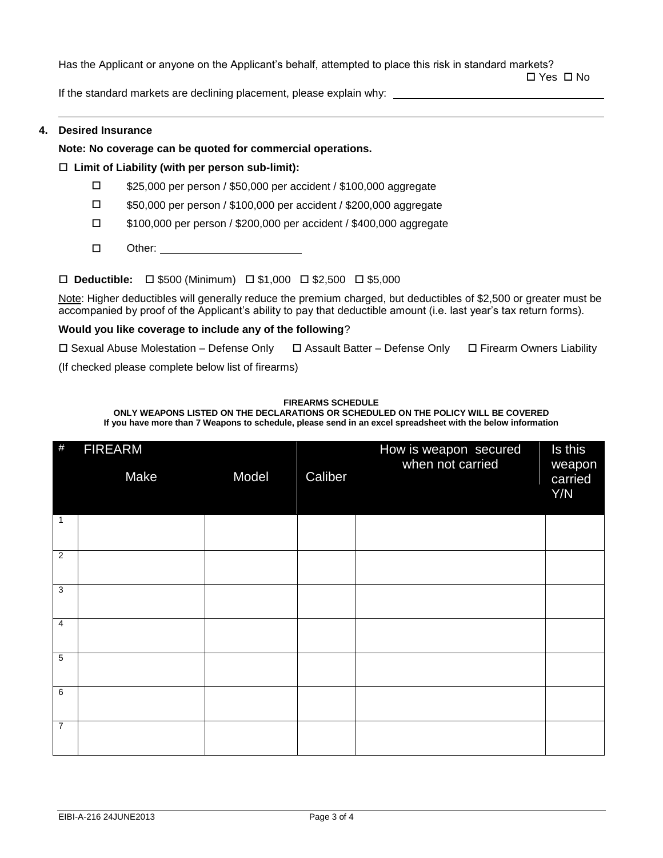Has the Applicant or anyone on the Applicant's behalf, attempted to place this risk in standard markets?

□ Yes □ No

If the standard markets are declining placement, please explain why: \_

### **4. Desired Insurance**

## **Note: No coverage can be quoted for commercial operations.**

## **Limit of Liability (with per person sub-limit):**

- □ \$25,000 per person / \$50,000 per accident / \$100,000 aggregate
- \$50,000 per person / \$100,000 per accident / \$200,000 aggregate
- \$100,000 per person / \$200,000 per accident / \$400,000 aggregate
- □ Other:

## **□ Deductible:** □ \$500 (Minimum) □ \$1,000 □ \$2,500 □ \$5,000

Note: Higher deductibles will generally reduce the premium charged, but deductibles of \$2,500 or greater must be accompanied by proof of the Applicant's ability to pay that deductible amount (i.e. last year's tax return forms).

#### **Would you like coverage to include any of the following**?

 $\Box$  Sexual Abuse Molestation – Defense Only  $\Box$  Assault Batter – Defense Only  $\Box$  Firearm Owners Liability

(If checked please complete below list of firearms)

#### **FIREARMS SCHEDULE**

**ONLY WEAPONS LISTED ON THE DECLARATIONS OR SCHEDULED ON THE POLICY WILL BE COVERED If you have more than 7 Weapons to schedule, please send in an excel spreadsheet with the below information**

| $\#$           | <b>FIREARM</b><br>Make | Model | Caliber | How is weapon secured<br>when not carried | Is this<br>weapon<br>carried<br>Y/N |
|----------------|------------------------|-------|---------|-------------------------------------------|-------------------------------------|
| 1              |                        |       |         |                                           |                                     |
| $\overline{2}$ |                        |       |         |                                           |                                     |
| $\overline{3}$ |                        |       |         |                                           |                                     |
| $\overline{4}$ |                        |       |         |                                           |                                     |
| $\overline{5}$ |                        |       |         |                                           |                                     |
| $\overline{6}$ |                        |       |         |                                           |                                     |
| $\overline{7}$ |                        |       |         |                                           |                                     |